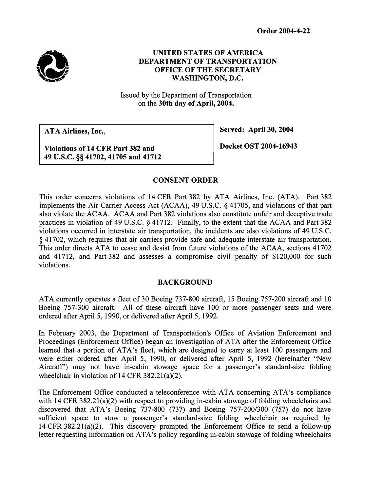

## UNITED STATES OF AMERICA DEPARTMENT OF TRANSPORTATION OFFICE OF THE SECRETARY WASHINGTON, D.C.

Issued by the Department of Transportation on the 30th day of April, 2004.

ATA Airlines, Inc.,

Served: April 30, 2004

Violations of 14 CFR Part 382 and 49 U.S.C. §§ 41702, 41705 and 41712 Docket OST 2004-16943

## CONSENT ORDER

This order concerns violations of 14 CFR Part 382 by ATA Airlines, Inc. (ATA). Part 382 implements the Air Carrier Access Act (ACAA), 49 U.S.C. § 41705, and violations of that part also violate the ACAA. ACAA and Part 382 violations also constitute unfair and deceptive trade practices in violation of 49 U.S.C. § 41712. Finally, to the extent that the ACAA and Part 382 violations occurred in interstate air transportation, the incidents are also violations of 49 U.S.C. § 41702, which requires that air carriers provide safe and adequate interstate air transportation. This order directs ATA to cease and desist from future violations of the ACAA, sections 41702 and 41712, and Part 382 and assesses a compromise civil penalty of \$120,000 for such violations.

#### BACKGROUND

ATA currently operates a fleet of 30 Boeing 737-800 aircraft, 15 Boeing 757-200 aircraft and 10 Boeing 757-300 aircraft. All of these aircraft have 100 or more passenger seats and were ordered after April 5, 1990, or delivered after April 5, 1992.

In February 2003, the Department of Transportation's Office of Aviation Enforcement and Proceedings (Enforcement Office) began an investigation of ATA after the Enforcement Office learned that a portion of ATA's fleet, which are designed to carry at least 100 passengers and were either ordered after April 5, 1990, or delivered after April 5, 1992 (hereinafter "New Aircraft") may not have in-cabin stowage space for a passenger's standard-size folding wheelchair in violation of 14 CFR 382.21(a)(2).

The Enforcement Office conducted a teleconference with ATA concerning ATA's compliance with 14 CFR 382.21(a)(2) with respect to providing in-cabin stowage of folding wheelchairs and discovered that ATA's Boeing 737-800 (737) and Boeing 757-200/300 (757) do not have sufficient space to stow a passenger's standard-size folding wheelchair as required by 14 CFR 382.2l(a)(2). This discovery prompted the Enforcement Office to send a follow-up letter requesting information on ATA's policy regarding in-cabin stowage of folding wheelchairs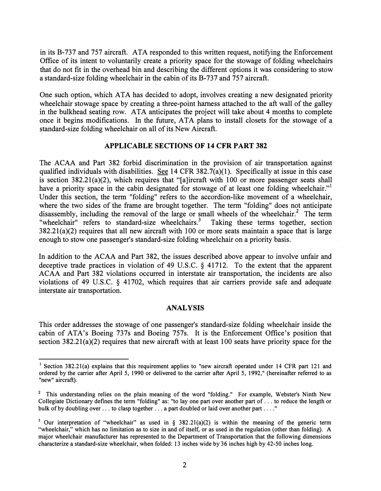in its B-737 and 757 aircraft. ATA responded to this written request, notifying the Enforcement Office of its intent to voluntarily create a priority space for the stowage of folding wheelchairs that do not fit in the overhead bin and describing the different options it was considering to stow a standard-size folding wheelchair in the cabin of its B-737 and 757 aircraft.

One such option, which ATA has decided to adopt, involves creating a new designated priority wheelchair stowage space by creating a three-point harness attached to the aft wall of the galley in the bulkhead seating row. ATA anticipates the project will take about 4 months to complete once it begins modifications. In the future, ATA plans to install closets for the stowage of a standard-size folding wheelchair on all of its New Aircraft.

#### APPLICABLE SECTIONS OF 14 CFR PART 382

The ACAA and Part 382 forbid discrimination in the provision of air transportation against qualified individuals with disabilities. See 14 CFR 382.7(a)(l). Specifically at issue in this case is section 382.21(a)(2), which requires that "[a]ircraft with 100 or more passenger seats shall have a priority space in the cabin designated for stowage of at least one folding wheelchair." Under this section, the term "folding" refers to the accordion-like movement of a wheelchair, where the two sides of the frame are brought together. The term "folding" does not anticipate disassembly, including the removal of the large or small wheels of the wheelchair.<sup>2</sup> The term "wheelchair" refers to standard-size wheelchairs.<sup>3</sup> Taking these terms together, section 382.21(a)(2) requires that all new aircraft with 100 or more seats maintain a space that is large enough to stow one passenger's standard-size folding wheelchair on a priority basis.

In addition to the ACAA and Part 382, the issues described above appear to involve unfair and deceptive trade practices in violation of 49 U.S.C. § 41712. To the extent that the apparent ACAA and Part 382 violations occurred in interstate air transportation, the incidents are also violations of 49 U.S.C. § 41702, which requires that air carriers provide safe and adequate interstate air transportation.

#### ANALYSIS

This order addresses the stowage of one passenger's standard-size folding wheelchair inside the cabin of ATA's Boeing 737s and Boeing 757s. It is the Enforcement Office's position that section 382.21(a)(2) requires that new aircraft with at least 100 seats have priority space for the

Section 382.21(a) explains that this requirement applies to "new aircraft operated under 14 CFR part 121 and ordered by the carrier after April 5, 1990 or delivered to the carrier after April 5, 1992," (hereinafter referred to as "new" aircraft).

<sup>&</sup>lt;sup>2</sup> This understanding relies on the plain meaning of the word "folding." For example, Webster's Ninth New Collegiate Dictionary defines the term "folding" as: "to lay one part over another part of ... to reduce the length or bulk of by doubling over ... to clasp together ... a part doubled or laid over another part ...."

<sup>&</sup>lt;sup>3</sup> Our interpretation of "wheelchair" as used in § 382.21(a)(2) is within the meaning of the generic term "wheelchair," which has no limitation as to size in and of itself, or as used in the regulation (other than folding). A major wheelchair manufacturer has represented to the Department of Transportation that the following dimensions characterize a standard-size wheelchair, when folded: 13 inches wide by 36 inches high by 42-50 inches long.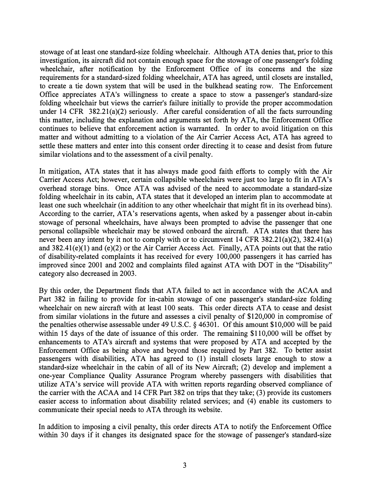stowage of at least one standard-size folding wheelchair. Although ATA denies that, prior to this investigation, its aircraft did not contain enough space for the stowage of one passenger's folding wheelchair, after notification by the Enforcement Office of its concerns and the size requirements for a standard-sized folding wheelchair, ATA has agreed, until closets are installed, to create a tie down system that will be used in the bulkhead seating row. The Enforcement Office appreciates ATA's willingness to create a space to stow a passenger's standard-size folding wheelchair but views the carrier's failure initially to provide the proper accommodation under 14 CFR 382.21(a)(2) seriously. After careful consideration of all the facts surrounding this matter, including the explanation and arguments set forth by ATA, the Enforcement Office continues to believe that enforcement action is warranted. In order to avoid litigation on this matter and without admitting to a violation of the Air Carrier Access Act, ATA has agreed to settle these matters and enter into this consent order directing it to cease and desist from future similar violations and to the assessment of a civil penalty.

In mitigation, ATA states that it has always made good faith efforts to comply with the Air Carrier Access Act; however, certain collapsible wheelchairs were just too large to fit in ATA's overhead storage bins. Once ATA was advised of the need to accommodate a standard-size folding wheelchair in its cabin, ATA states that it developed an interim plan to accommodate at least one such wheelchair (in addition to any other wheelchair that might fit in its overhead bins). According to the carrier, ATA's reservations agents, when asked by a passenger about in-cabin stowage of personal wheelchairs, have always been prompted to advise the passenger that one personal collapsible wheelchair may be stowed onboard the aircraft. ATA states that there has never been any intent by it not to comply with or to circumvent 14 CFR 382.21(a)(2), 382.41(a) and 382.41(e)(l) and (e)(2) or the Air Carrier Access Act. Finally, ATA points out that the ratio of disability-related complaints it has received for every 100,000 passengers it has carried has improved since 2001 and 2002 and complaints filed against ATA with DOT in the "Disability" category also decreased in 2003.

By this order, the Department finds that ATA failed to act in accordance with the ACAA and Part 382 in failing to provide for in-cabin stowage of one passenger's standard-size folding wheelchair on new aircraft with at least 100 seats. This order directs ATA to cease and desist from similar violations in the future and assesses a civil penalty of \$120,000 in compromise of the penalties otherwise assessable under 49 U.S.C. § 46301. Of this amount \$10,000 will be paid within 15 days of the date of issuance of this order. The remaining \$110,000 will be offset by enhancements to ATA's aircraft and systems that were proposed by ATA and accepted by the Enforcement Office as being above and beyond those required by Part 382. To better assist passengers with disabilities,  $ATA$  has agreed to  $(1)$  install closets large enough to stow a standard-size wheelchair in the cabin of all of its New Aircraft; (2) develop and implement a one-year Compliance Quality Assurance Program whereby passengers with disabilities that utilize ATA's service will provide ATA with written reports regarding observed compliance of the carrier with the ACAA and 14 CFR Part 382 on trips that they take; (3) provide its customers easier access to information about disability related services; and (4) enable its customers to communicate their special needs to ATA through its website.

In addition to imposing a civil penalty, this order directs ATA to notify the Enforcement Office within 30 days if it changes its designated space for the stowage of passenger's standard-size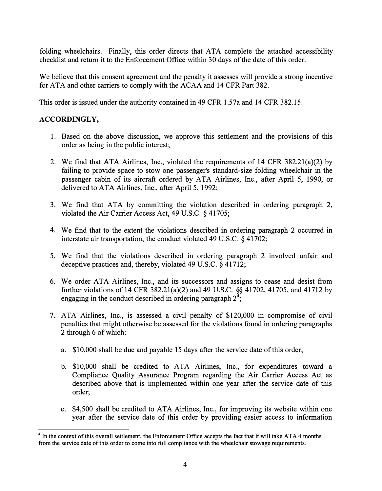folding wheelchairs. Finally, this order directs that ATA complete the attached accessibility checklist and return it to the Enforcement Office within 30 days of the date of this order.

We believe that this consent agreement and the penalty it assesses will provide a strong incentive for ATA and other carriers to comply with the ACAA and 14 CFR Part 382.

This order is issued under the authority contained in 49 CFR l.57a and 14 CFR 382.15.

## ACCORDINGLY,

- 1. Based on the above discussion, we approve this settlement and the provisions of this order as being in the public interest;
- 2. We find that ATA Airlines, Inc., violated the requirements of 14 CFR 382.21(a)(2) by failing to provide space to stow one passenger's standard-size folding wheelchair in the passenger cabin of its aircraft ordered by ATA Airlines, Inc., after April 5, 1990, or delivered to ATA Airlines, Inc., after April 5, 1992;
- 3. We find that ATA by committing the violation described in ordering paragraph 2, violated the Air Carrier Access Act, 49 U.S.C. § 41705;
- 4. We find that to the extent the violations described in ordering paragraph 2 occurred in interstate air transportation, the conduct violated 49 U.S.C. § 41702;
- 5. We find that the violations described in ordering paragraph 2 involved unfair and deceptive practices and, thereby, violated 49 U.S.C. § 41712;
- 6. We order ATA Airlines, Inc., and its successors and assigns to cease and desist from further violations of 14 CFR 382.21(a)(2) and 49 U.S.C. §§ 41702, 41705, and 41712 by engaging in the conduct described in ordering paragraph  $2^{\frac{3}{2}}$ ;
- 7. ATA Airlines, Inc., is assessed a civil penalty of \$120,000 in compromise of civil penalties that might otherwise be assessed for the violations found in ordering paragraphs 2 through 6 of which:
	- a. \$10,000 shall be due and payable 15 days after the service date of this order;
	- b. \$10,000 shall be credited to ATA Airlines, Inc., for expenditures toward a Compliance Quality Assurance Program regarding the Air Carrier Access Act as described above that is implemented within one year after the service date of this order;
	- c. \$4,500 shall be credited to ATA Airlines, Inc., for improving its website within one year after the service date of this order by providing easier access to information

<sup>&</sup>lt;sup>4</sup> In the context of this overall settlement, the Enforcement Office accepts the fact that it will take ATA 4 months from the service date of this order to come into full compliance with the wheelchair stowage requirements.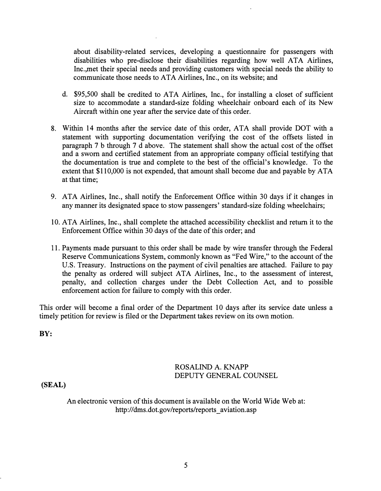about disability-related services, developing a questionnaire for passengers with disabilities who pre-disclose their disabilities regarding how well ATA Airlines, Inc.,met their special needs and providing customers with special needs the ability to communicate those needs to ATA Airlines, Inc., on its website; and

- d. \$95,500 shall be credited to ATA Airlines, Inc., for installing a closet of sufficient size to accommodate a standard-size folding wheelchair onboard each of its New Aircraft within one year after the service date of this order.
- 8. Within 14 months after the service date of this order, ATA shall provide DOT with a statement with supporting documentation verifying the cost of the offsets listed in paragraph 7 b through 7 d above. The statement shall show the actual cost of the offset and a sworn and certified statement from an appropriate company official testifying that the documentation is true and complete to the best of the official's knowledge. To the extent that \$110,000 is not expended, that amount shall become due and payable by ATA at that time;
- 9. ATA Airlines, Inc., shall notify the Enforcement Office within 30 days if it changes in any manner its designated space to stow passengers' standard-size folding wheelchairs;
- 10. ATA Airlines, Inc., shall complete the attached accessibility checklist and return it to the Enforcement Office within 30 days of the date of this order; and
- 11. Payments made pursuant to this order shall be made by wire transfer through the Federal Reserve Communications System, commonly known as "Fed Wire," to the account of the U.S. Treasury. Instructions on the payment of civil penalties are attached. Failure to pay the penalty as ordered will subject ATA Airlines, Inc., to the assessment of interest, penalty, and collection charges under the Debt Collection Act, and to possible enforcement action for failure to comply with this order.

This order will become a final order of the Department 10 days after its service date unless a timely petition for review is filed or the Department takes review on its own motion.

BY:

## ROSALIND A. KNAPP DEPUTY GENERAL COUNSEL

(SEAL)

An electronic version of this document is available on the World Wide Web at: [http://dms.](http://dms)dot.gov/reports/reports aviation.asp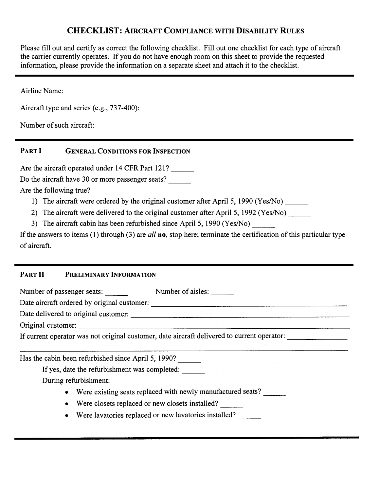# CHECKLIST: AIRCRAFT COMPLIANCE WITH DISABILITY RULES

**CHECKLIST:** AIRCRAFT COMPLIANCE WITH DISABILITY RULES<br>
if our data centrify seconds the following chocklist. Fill our one chocklist for each cycle of the control of the condition of the condition of the condition of the Please fill out and certify as correct the following checklist. Fill out one checklist for each type of aircraft the carrier currently operates. If you do not have enough room on this sheet to provide the requested information, please provide the information on a separate sheet and attach it to the checklist.

Airline Name:

Aircraft type and series (e.g., 737-400):

Number of such aircraft:

## PART I GENERAL CONDITIONS FOR INSPECTION

Are the aircraft operated under 14 CFR Part 121?

Do the aircraft have 30 or more passenger seats?

Are the following true?

- 1) The aircraft were ordered by the original customer after April 5, 1990 (Yes/No) \_\_\_\_\_\_
- 2) The aircraft were delivered to the original customer after April 5, 1992 (Yes/No)  $\frac{1}{\sqrt{1-\frac{1}{n}}}\left| \frac{f(x,y)}{f(x,y)} \right|$
- 3) The aircraft cabin has been refurbished since April 5, 1990 (Yes/No) \_\_\_\_\_\_\_

---------------------- g., 737-400):<br>
CONDITIONS FOR INSPECTION<br>
Inder 14 CFR Part 121?<br>
more passenger seats?<br>
more passenger seats?<br>
indered by the original customer after April 5, 1990 (Yes/No)<br>
Linuced to the original customer:  $\frac{1}{2}$ <br>
th If the answers to items (1) through (3) are all **no**, stop here; terminate the certification of this particular type of aircraft.

# PART II PRELIMINARY INFORMATION

Number of passenger seats: Number of aisles:

Date aircraft ordered by original customer:

Date delivered to original customer:

Original customer:

If current operator was not original customer, date aircraft delivered to current operator: \_\_\_\_\_\_\_\_\_\_\_\_\_\_\_\_\_\_

Has the cabin been refurbished since April 5, 1990? \_\_\_\_\_\_\_

If yes, date the refurbishment was completed: \_\_\_\_\_\_\_

During refurbishment:

- Were existing seats replaced with newly manufactured seats?
- Were closets replaced or new closets installed?
- Were lavatories replaced or new lavatories installed?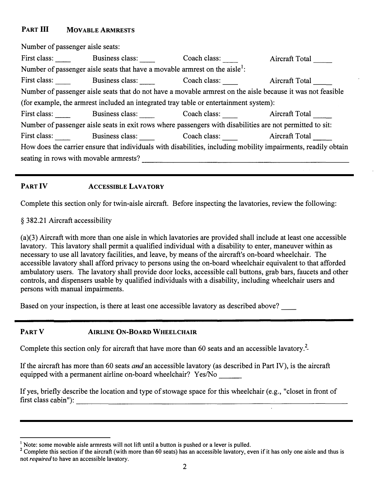## PART III MOVABLE ARMRESTS

------------------------- cabin"):---------------------------------- Number of passenger aisle seats: First class: Business class: Coach class: Aircraft Total seating in rows with movable armrests? Number of passenger aisle seats that have a movable armrest on the aisle<sup>1</sup>: First class: Business class: Coach class: Aircraft Total Manuel Aircraft Total Number of passenger aisle seats that do not have a movable armrest on the aisle because it was not feasible (for example, the armrest included an integrated tray table or entertainment system): First class: Business class: Coach class: Aircraft Total Number of passenger aisle seats in exit rows where passengers with disabilities are not permitted to sit: First class: Business class: Coach class: Aircraft Total How does the carrier ensure that individuals with disabilities, including mobility impairments, readily obtain

## PART IV ACCESSIBLE LAVATORY

Complete this section only for twin-aisle aircraft. Before inspecting the lavatories, review the following:

### § 382.21 Aircraft accessibility

(a)(3) Aircraft with more than one aisle in which lavatories are provided shall include at least one accessible lavatory. This lavatory shall permit a qualified individual with a disability to enter, maneuver within as necessary to use all lavatory facilities, and leave, by means of the aircraft's on-board wheelchair. The accessible lavatory shall afford privacy to persons using the on-board wheelchair equivalent to that afforded ambulatory users. The lavatory shall provide door locks, accessible call buttons, grab bars, faucets and other controls, and dispensers usable by qualified individuals with a disability, including wheelchair users and persons with manual impairments.

Based on your inspection, is there at least one accessible lavatory as described above?

## PART V AIRLINE ON-BOARD WHEELCHAIR

Complete this section only for aircraft that have more than 60 seats and an accessible lavatory.<sup>2</sup> j

equipped with a permanent airline on-board wheelchair? Yes/No \_\_\_\_\_\_\_\_\_\_\_\_\_\_\_\_\_\_ If the aircraft has more than 60 seats and an accessible lavatory (as described in Part IV), is the aircraft

If yes, briefly describe the location and type of stowage space for this wheelchair (e.g., "closet in front of first class

 $<sup>1</sup>$  Note: some movable aisle armrests will not lift until a button is pushed or a lever is pulled.</sup>

<sup>&</sup>lt;sup>2</sup> Complete this section if the aircraft (with more than 60 seats) has an accessible lavatory, even if it has only one aisle and thus is not required to have an accessible lavatory.